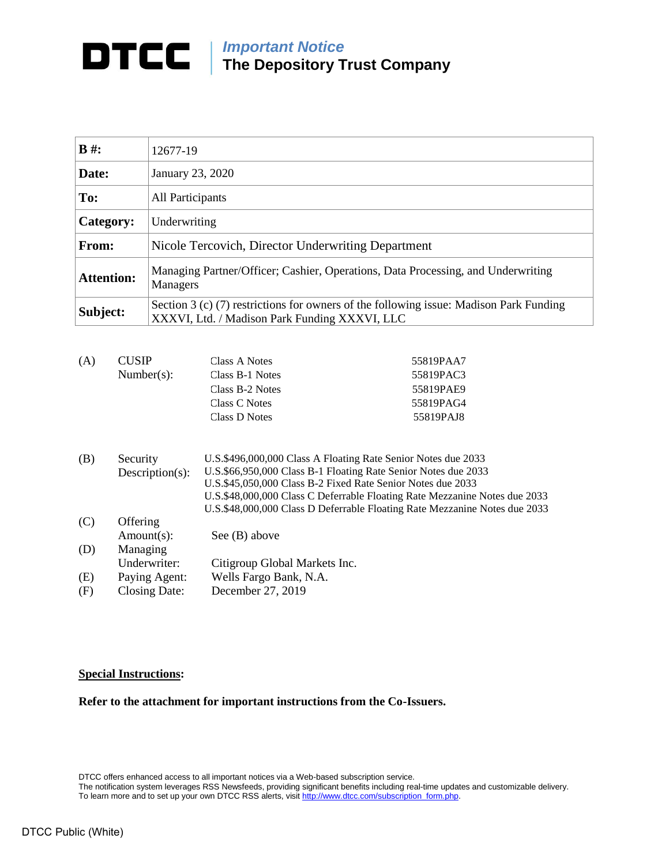## *Important Notice* **The Depository Trust Company**

| $\bf{B}$ #:       | 12677-19                                                                                                                                  |  |
|-------------------|-------------------------------------------------------------------------------------------------------------------------------------------|--|
| Date:             | January 23, 2020                                                                                                                          |  |
| To:               | All Participants                                                                                                                          |  |
| Category:         | Underwriting                                                                                                                              |  |
| From:             | Nicole Tercovich, Director Underwriting Department                                                                                        |  |
| <b>Attention:</b> | Managing Partner/Officer; Cashier, Operations, Data Processing, and Underwriting<br>Managers                                              |  |
| Subject:          | Section 3 (c) $(7)$ restrictions for owners of the following issue: Madison Park Funding<br>XXXVI, Ltd. / Madison Park Funding XXXVI, LLC |  |

| (A) | <b>CUSIP</b>    | Class A Notes                                                  | 55819PAA7                                                                  |  |  |  |
|-----|-----------------|----------------------------------------------------------------|----------------------------------------------------------------------------|--|--|--|
|     | Number(s):      | Class B-1 Notes                                                | 55819PAC3                                                                  |  |  |  |
|     |                 | Class B-2 Notes                                                | 55819PAE9                                                                  |  |  |  |
|     |                 | Class C Notes                                                  | 55819PAG4                                                                  |  |  |  |
|     |                 | Class D Notes                                                  | 55819PAJ8                                                                  |  |  |  |
| (B) | Security        | U.S.\$496,000,000 Class A Floating Rate Senior Notes due 2033  |                                                                            |  |  |  |
|     | Description(s): | U.S.\$66,950,000 Class B-1 Floating Rate Senior Notes due 2033 |                                                                            |  |  |  |
|     |                 | U.S.\$45,050,000 Class B-2 Fixed Rate Senior Notes due 2033    |                                                                            |  |  |  |
|     |                 |                                                                | U.S.\$48,000,000 Class C Deferrable Floating Rate Mezzanine Notes due 2033 |  |  |  |
|     |                 |                                                                | U.S.\$48,000,000 Class D Deferrable Floating Rate Mezzanine Notes due 2033 |  |  |  |
| (C) | Offering        |                                                                |                                                                            |  |  |  |
|     | Amount(s):      | See $(B)$ above                                                |                                                                            |  |  |  |
| (D) | Managing        |                                                                |                                                                            |  |  |  |

| Citigroup Global Markets Inc.<br>Underwriter: |  |
|-----------------------------------------------|--|

- (E) Paying Agent: Wells Fargo Bank, N.A.<br>(F) Closing Date: December 27, 2019
- (F) Closing Date: December 27, 2019

## **Special Instructions:**

**Refer to the attachment for important instructions from the Co-Issuers.**

DTCC offers enhanced access to all important notices via a Web-based subscription service.

The notification system leverages RSS Newsfeeds, providing significant benefits including real-time updates and customizable delivery. To learn more and to set up your own DTCC RSS alerts, visi[t http://www.dtcc.com/subscription\\_form.php.](http://www.dtcc.com/subscription_form.php)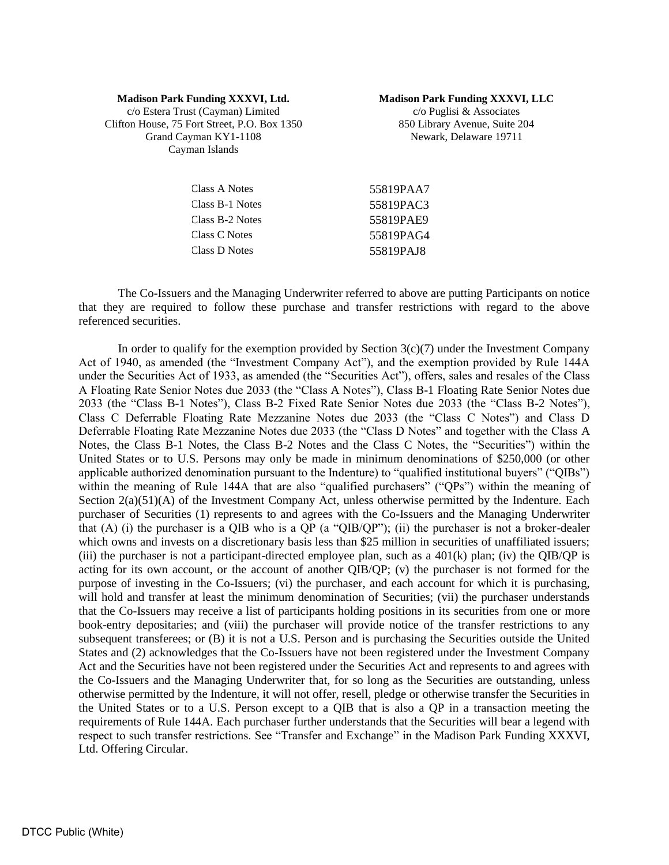## **Madison Park Funding XXXVI, Ltd.**

**Madison Park Funding XXXVI, LLC**

c/o Estera Trust (Cayman) Limited Clifton House, 75 Fort Street, P.O. Box 1350 Grand Cayman KY1-1108 Cayman Islands

c/o Puglisi & Associates 850 Library Avenue, Suite 204 Newark, Delaware 19711

| Class A Notes   | 55819PAA7 |
|-----------------|-----------|
| Class B-1 Notes | 55819PAC3 |
| Class B-2 Notes | 55819PAE9 |
| Class C Notes   | 55819PAG4 |
| Class D Notes   | 55819PAJ8 |

The Co-Issuers and the Managing Underwriter referred to above are putting Participants on notice that they are required to follow these purchase and transfer restrictions with regard to the above referenced securities.

In order to qualify for the exemption provided by Section  $3(c)(7)$  under the Investment Company Act of 1940, as amended (the "Investment Company Act"), and the exemption provided by Rule 144A under the Securities Act of 1933, as amended (the "Securities Act"), offers, sales and resales of the Class A Floating Rate Senior Notes due 2033 (the "Class A Notes"), Class B-1 Floating Rate Senior Notes due 2033 (the "Class B-1 Notes"), Class B-2 Fixed Rate Senior Notes due 2033 (the "Class B-2 Notes"), Class C Deferrable Floating Rate Mezzanine Notes due 2033 (the "Class C Notes") and Class D Deferrable Floating Rate Mezzanine Notes due 2033 (the "Class D Notes" and together with the Class A Notes, the Class B-1 Notes, the Class B-2 Notes and the Class C Notes, the "Securities") within the United States or to U.S. Persons may only be made in minimum denominations of \$250,000 (or other applicable authorized denomination pursuant to the Indenture) to "qualified institutional buyers" ("QIBs") within the meaning of Rule 144A that are also "qualified purchasers" ("QPs") within the meaning of Section  $2(a)(51)(A)$  of the Investment Company Act, unless otherwise permitted by the Indenture. Each purchaser of Securities (1) represents to and agrees with the Co-Issuers and the Managing Underwriter that (A) (i) the purchaser is a QIB who is a QP (a "QIB/QP"); (ii) the purchaser is not a broker-dealer which owns and invests on a discretionary basis less than \$25 million in securities of unaffiliated issuers; (iii) the purchaser is not a participant-directed employee plan, such as a  $401(k)$  plan; (iv) the OIB/OP is acting for its own account, or the account of another QIB/QP; (v) the purchaser is not formed for the purpose of investing in the Co-Issuers; (vi) the purchaser, and each account for which it is purchasing, will hold and transfer at least the minimum denomination of Securities; (vii) the purchaser understands that the Co-Issuers may receive a list of participants holding positions in its securities from one or more book-entry depositaries; and (viii) the purchaser will provide notice of the transfer restrictions to any subsequent transferees; or (B) it is not a U.S. Person and is purchasing the Securities outside the United States and (2) acknowledges that the Co-Issuers have not been registered under the Investment Company Act and the Securities have not been registered under the Securities Act and represents to and agrees with the Co-Issuers and the Managing Underwriter that, for so long as the Securities are outstanding, unless otherwise permitted by the Indenture, it will not offer, resell, pledge or otherwise transfer the Securities in the United States or to a U.S. Person except to a QIB that is also a QP in a transaction meeting the requirements of Rule 144A. Each purchaser further understands that the Securities will bear a legend with respect to such transfer restrictions. See "Transfer and Exchange" in the Madison Park Funding XXXVI, Ltd. Offering Circular.